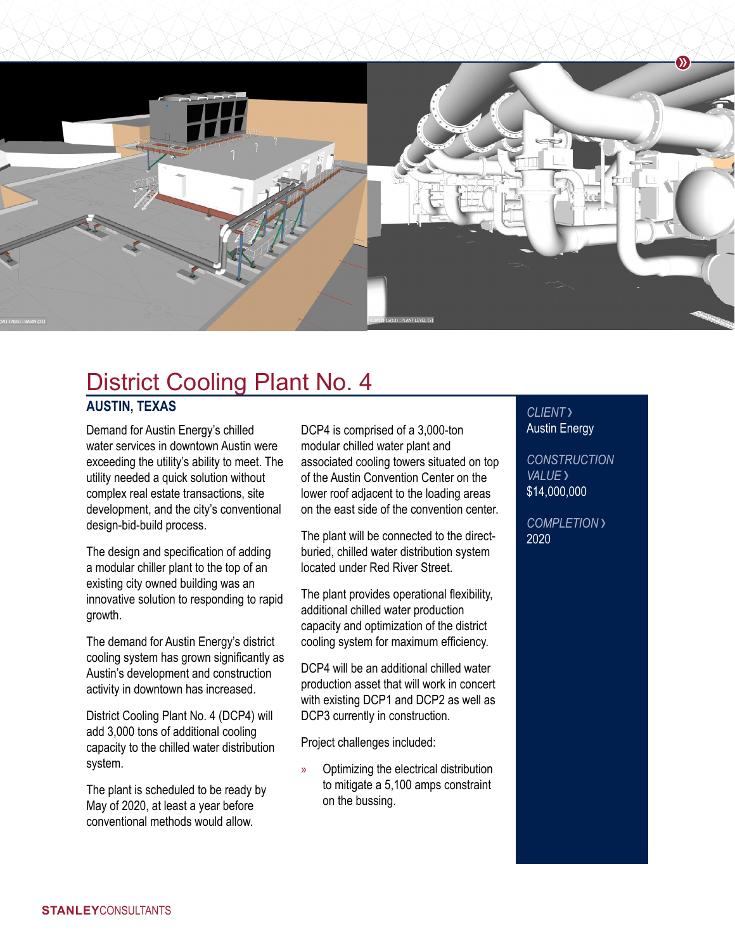

## District Cooling Plant No. 4

## **AUSTIN, TEXAS**

Demand for Austin Energy's chilled water services in downtown Austin were exceeding the utility's ability to meet. The utility needed a quick solution without complex real estate transactions, site development, and the city's conventional design-bid-build process.

The design and specification of adding a modular chiller plant to the top of an existing city owned building was an innovative solution to responding to rapid growth.

The demand for Austin Energy's district cooling system has grown significantly as Austin's development and construction activity in downtown has increased.

District Cooling Plant No. 4 (DCP4) will add 3,000 tons of additional cooling capacity to the chilled water distribution system.

The plant is scheduled to be ready by May of 2020, at least a year before conventional methods would allow.

DCP4 is comprised of a 3,000-ton modular chilled water plant and associated cooling towers situated on top of the Austin Convention Center on the lower roof adjacent to the loading areas on the east side of the convention center.

The plant will be connected to the directburied, chilled water distribution system located under Red River Street.

The plant provides operational flexibility, additional chilled water production capacity and optimization of the district cooling system for maximum efficiency.

DCP4 will be an additional chilled water production asset that will work in concert with existing DCP1 and DCP2 as well as DCP3 currently in construction.

Project challenges included:

» Optimizing the electrical distribution to mitigate a 5,100 amps constraint on the bussing.

## *CLIENT*  Austin Energy

*CONSTRUCTION VALUE* \$14,000,000

*COMPLETION*  2020